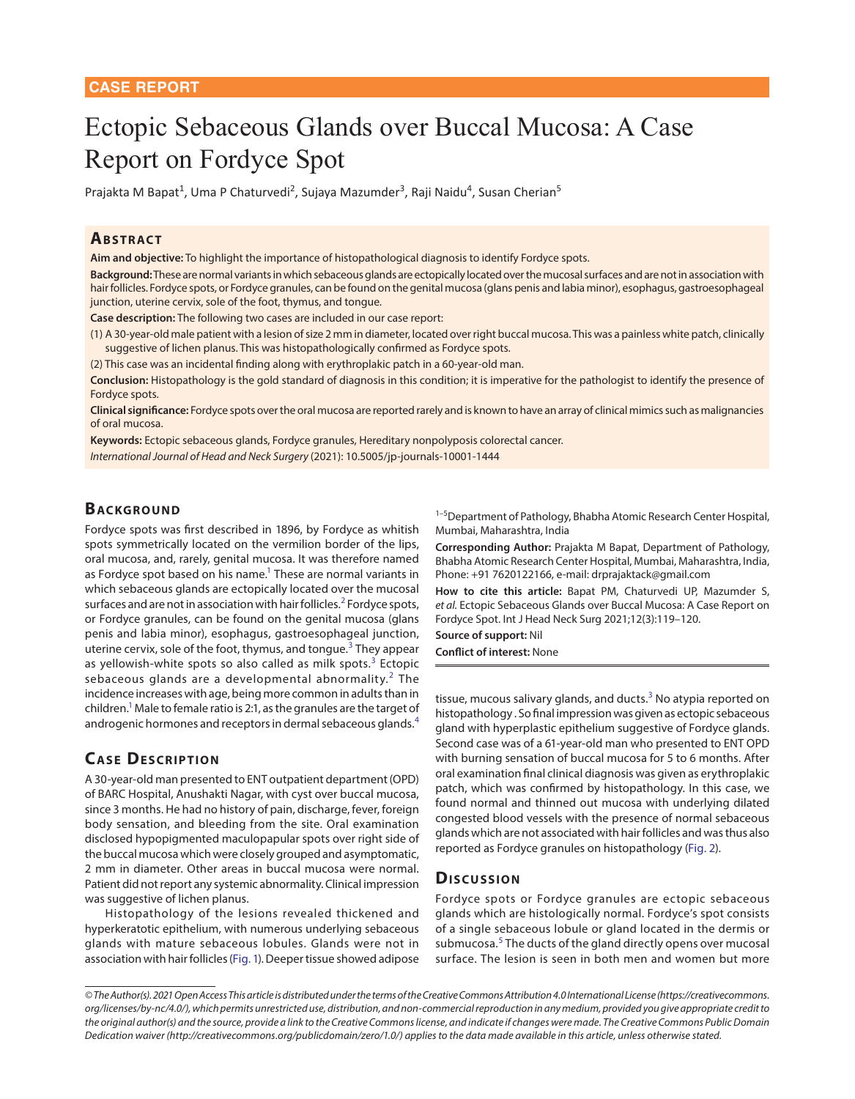# Ectopic Sebaceous Glands over Buccal Mucosa: A Case Report on Fordyce Spot

Prajakta M Bapat<sup>1</sup>, Uma P Chaturvedi<sup>2</sup>, Sujaya Mazumder<sup>3</sup>, Raji Naidu<sup>4</sup>, Susan Cherian<sup>5</sup>

### **ABSTRACT**

**Aim and objective:** To highlight the importance of histopathological diagnosis to identify Fordyce spots.

**Background:** These are normal variants in which sebaceous glands are ectopically located over the mucosal surfaces and are not in association with hair follicles. Fordyce spots, or Fordyce granules, can be found on the genital mucosa (glans penis and labia minor), esophagus, gastroesophageal junction, uterine cervix, sole of the foot, thymus, and tongue.

**Case description:** The following two cases are included in our case report:

(1) A 30-year-old male patient with a lesion of size 2 mm in diameter, located over right buccal mucosa. This was a painless white patch, clinically suggestive of lichen planus. This was histopathologically confirmed as Fordyce spots.

(2) This case was an incidental finding along with erythroplakic patch in a 60-year-old man.

**Conclusion:** Histopathology is the gold standard of diagnosis in this condition; it is imperative for the pathologist to identify the presence of Fordyce spots.

**Clinical significance:** Fordyce spots over the oral mucosa are reported rarely and is known to have an array of clinical mimics such as malignancies of oral mucosa.

**Keywords:** Ectopic sebaceous glands, Fordyce granules, Hereditary nonpolyposis colorectal cancer.

*International Journal of Head and Neck Surgery* (2021): 10.5005/jp-journals-10001-1444

## **BACKGROUND**

Fordyce spots was first described in 1896, by Fordyce as whitish spots symmetrically located on the vermilion border of the lips, oral mucosa, and, rarely, genital mucosa. It was therefore named as Fordyce spot based on his name.<sup>1</sup> These are normal variants in which sebaceous glands are ectopically located over the mucosal surfaces and are not in association with hair follicles.<sup>[2](#page-1-4)</sup> Fordyce spots, or Fordyce granules, can be found on the genital mucosa (glans penis and labia minor), esophagus, gastroesophageal junction, uterine cervix, sole of the foot, thymus, and tongue.<sup>[3](#page-1-0)</sup> They appear as yellowish-white spots so also called as milk spots.<sup>[3](#page-1-0)</sup> Ectopic sebaceous glands are a developmental abnormality. $^2$  $^2$  The incidence increases with age, being more common in adults than in children.<sup>1</sup> Male to female ratio is 2:1, as the granules are the target of androgenic hormones and receptors in dermal sebaceous glands.<sup>[4](#page-1-5)</sup>

## **CASE DESCRIPTION**

A 30-year-old man presented to ENT outpatient department (OPD) of BARC Hospital, Anushakti Nagar, with cyst over buccal mucosa, since 3 months. He had no history of pain, discharge, fever, foreign body sensation, and bleeding from the site. Oral examination disclosed hypopigmented maculopapular spots over right side of the buccal mucosa which were closely grouped and asymptomatic, 2 mm in diameter. Other areas in buccal mucosa were normal. Patient did not report any systemic abnormality. Clinical impression was suggestive of lichen planus.

Histopathology of the lesions revealed thickened and hyperkeratotic epithelium, with numerous underlying sebaceous glands with mature sebaceous lobules. Glands were not in association with hair follicles [\(Fig. 1](#page-1-6)). Deeper tissue showed adipose <sup>1–5</sup>Department of Pathology, Bhabha Atomic Research Center Hospital, Mumbai, Maharashtra, India

**Corresponding Author:** Prajakta M Bapat, Department of Pathology, Bhabha Atomic Research Center Hospital, Mumbai, Maharashtra, India, Phone: +91 7620122166, e-mail: drprajaktack@gmail.com

<span id="page-0-1"></span><span id="page-0-0"></span>**How to cite this article:** Bapat PM, Chaturvedi UP, Mazumder S, *et al.* Ectopic Sebaceous Glands over Buccal Mucosa: A Case Report on Fordyce Spot. Int J Head Neck Surg 2021;12(3):119–120.

**Source of support:** Nil

<span id="page-0-2"></span>**Conflict of interest:** None

<span id="page-0-3"></span>tissue, mucous salivary glands, and ducts.<sup>[3](#page-1-0)</sup> No atypia reported on histopathology . So final impression was given as ectopic sebaceous gland with hyperplastic epithelium suggestive of Fordyce glands. Second case was of a 61-year-old man who presented to ENT OPD with burning sensation of buccal mucosa for 5 to 6 months. After oral examination final clinical diagnosis was given as erythroplakic patch, which was confirmed by histopathology. In this case, we found normal and thinned out mucosa with underlying dilated congested blood vessels with the presence of normal sebaceous glands which are not associated with hair follicles and was thus also reported as Fordyce granules on histopathology ([Fig. 2](#page-1-1)).

### <span id="page-0-6"></span>Discussion

<span id="page-0-5"></span><span id="page-0-4"></span>Fordyce spots or Fordyce granules are ectopic sebaceous glands which are histologically normal. Fordyce's spot consists of a single sebaceous lobule or gland located in the dermis or submucosa.<sup>[5](#page-1-2)</sup> The ducts of the gland directly opens over mucosal surface. The lesion is seen in both men and women but more

*<sup>©</sup> The Author(s). 2021 Open Access This article is distributed under the terms of the Creative Commons Attribution 4.0 International License (https://creativecommons. org/licenses/by-nc/4.0/), which permits unrestricted use, distribution, and non-commercial reproduction in any medium, provided you give appropriate credit to the original author(s) and the source, provide a link to the Creative Commons license, and indicate if changes were made. The Creative Commons Public Domain Dedication waiver (http://creativecommons.org/publicdomain/zero/1.0/) applies to the data made available in this article, unless otherwise stated.*